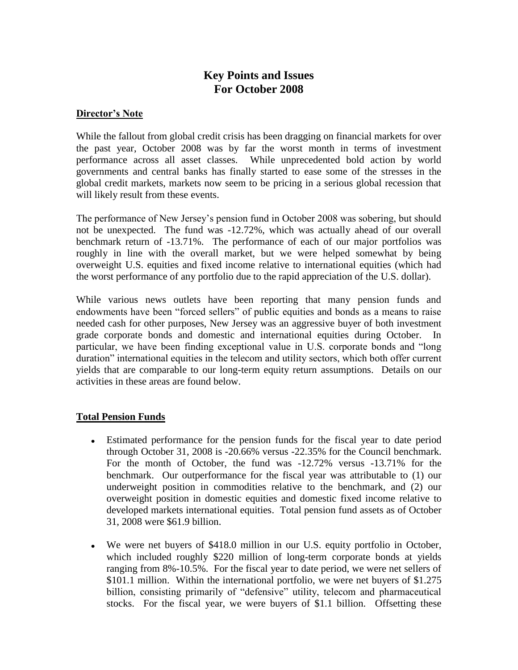# **Key Points and Issues For October 2008**

#### **Director's Note**

While the fallout from global credit crisis has been dragging on financial markets for over the past year, October 2008 was by far the worst month in terms of investment performance across all asset classes. While unprecedented bold action by world governments and central banks has finally started to ease some of the stresses in the global credit markets, markets now seem to be pricing in a serious global recession that will likely result from these events.

The performance of New Jersey's pension fund in October 2008 was sobering, but should not be unexpected. The fund was -12.72%, which was actually ahead of our overall benchmark return of -13.71%. The performance of each of our major portfolios was roughly in line with the overall market, but we were helped somewhat by being overweight U.S. equities and fixed income relative to international equities (which had the worst performance of any portfolio due to the rapid appreciation of the U.S. dollar).

While various news outlets have been reporting that many pension funds and endowments have been "forced sellers" of public equities and bonds as a means to raise needed cash for other purposes, New Jersey was an aggressive buyer of both investment grade corporate bonds and domestic and international equities during October. In particular, we have been finding exceptional value in U.S. corporate bonds and "long duration" international equities in the telecom and utility sectors, which both offer current yields that are comparable to our long-term equity return assumptions. Details on our activities in these areas are found below.

## **Total Pension Funds**

- Estimated performance for the pension funds for the fiscal year to date period through October 31, 2008 is -20.66% versus -22.35% for the Council benchmark. For the month of October, the fund was -12.72% versus -13.71% for the benchmark. Our outperformance for the fiscal year was attributable to (1) our underweight position in commodities relative to the benchmark, and (2) our overweight position in domestic equities and domestic fixed income relative to developed markets international equities. Total pension fund assets as of October 31, 2008 were \$61.9 billion.
- We were net buyers of \$418.0 million in our U.S. equity portfolio in October, which included roughly \$220 million of long-term corporate bonds at yields ranging from 8%-10.5%. For the fiscal year to date period, we were net sellers of \$101.1 million. Within the international portfolio, we were net buyers of \$1.275 billion, consisting primarily of "defensive" utility, telecom and pharmaceutical stocks. For the fiscal year, we were buyers of \$1.1 billion. Offsetting these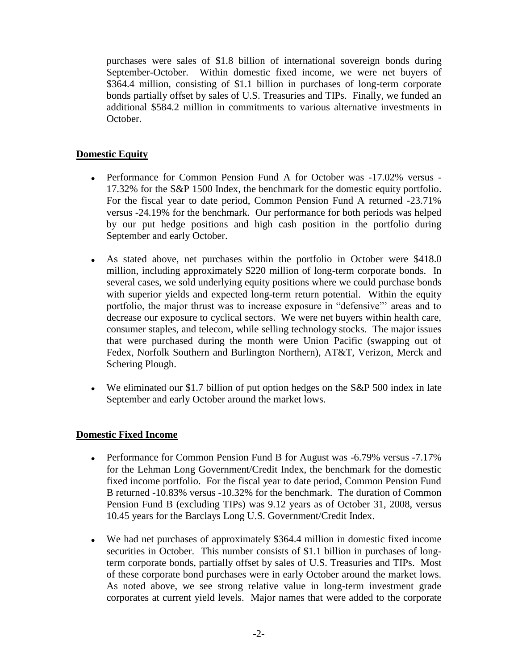purchases were sales of \$1.8 billion of international sovereign bonds during September-October. Within domestic fixed income, we were net buyers of \$364.4 million, consisting of \$1.1 billion in purchases of long-term corporate bonds partially offset by sales of U.S. Treasuries and TIPs. Finally, we funded an additional \$584.2 million in commitments to various alternative investments in October.

## **Domestic Equity**

- Performance for Common Pension Fund A for October was -17.02% versus 17.32% for the S&P 1500 Index, the benchmark for the domestic equity portfolio. For the fiscal year to date period, Common Pension Fund A returned -23.71% versus -24.19% for the benchmark. Our performance for both periods was helped by our put hedge positions and high cash position in the portfolio during September and early October.
- As stated above, net purchases within the portfolio in October were \$418.0 million, including approximately \$220 million of long-term corporate bonds. In several cases, we sold underlying equity positions where we could purchase bonds with superior yields and expected long-term return potential. Within the equity portfolio, the major thrust was to increase exposure in "defensive"' areas and to decrease our exposure to cyclical sectors. We were net buyers within health care, consumer staples, and telecom, while selling technology stocks. The major issues that were purchased during the month were Union Pacific (swapping out of Fedex, Norfolk Southern and Burlington Northern), AT&T, Verizon, Merck and Schering Plough.
- We eliminated our \$1.7 billion of put option hedges on the S&P 500 index in late September and early October around the market lows.

## **Domestic Fixed Income**

- Performance for Common Pension Fund B for August was -6.79% versus -7.17% for the Lehman Long Government/Credit Index, the benchmark for the domestic fixed income portfolio. For the fiscal year to date period, Common Pension Fund B returned -10.83% versus -10.32% for the benchmark. The duration of Common Pension Fund B (excluding TIPs) was 9.12 years as of October 31, 2008, versus 10.45 years for the Barclays Long U.S. Government/Credit Index.
- We had net purchases of approximately \$364.4 million in domestic fixed income securities in October. This number consists of \$1.1 billion in purchases of longterm corporate bonds, partially offset by sales of U.S. Treasuries and TIPs. Most of these corporate bond purchases were in early October around the market lows. As noted above, we see strong relative value in long-term investment grade corporates at current yield levels. Major names that were added to the corporate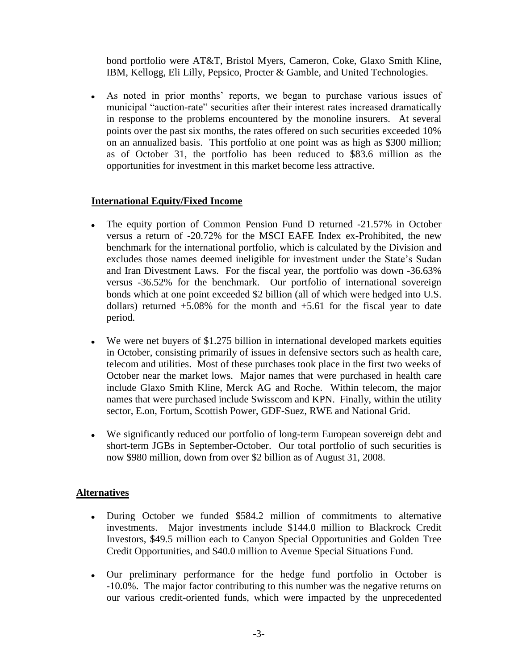bond portfolio were AT&T, Bristol Myers, Cameron, Coke, Glaxo Smith Kline, IBM, Kellogg, Eli Lilly, Pepsico, Procter & Gamble, and United Technologies.

As noted in prior months' reports, we began to purchase various issues of municipal "auction-rate" securities after their interest rates increased dramatically in response to the problems encountered by the monoline insurers. At several points over the past six months, the rates offered on such securities exceeded 10% on an annualized basis. This portfolio at one point was as high as \$300 million; as of October 31, the portfolio has been reduced to \$83.6 million as the opportunities for investment in this market become less attractive.

## **International Equity/Fixed Income**

- The equity portion of Common Pension Fund D returned -21.57% in October versus a return of -20.72% for the MSCI EAFE Index ex-Prohibited, the new benchmark for the international portfolio, which is calculated by the Division and excludes those names deemed ineligible for investment under the State's Sudan and Iran Divestment Laws. For the fiscal year, the portfolio was down -36.63% versus -36.52% for the benchmark. Our portfolio of international sovereign bonds which at one point exceeded \$2 billion (all of which were hedged into U.S. dollars) returned  $+5.08\%$  for the month and  $+5.61$  for the fiscal year to date period.
- We were net buyers of \$1.275 billion in international developed markets equities in October, consisting primarily of issues in defensive sectors such as health care, telecom and utilities. Most of these purchases took place in the first two weeks of October near the market lows. Major names that were purchased in health care include Glaxo Smith Kline, Merck AG and Roche. Within telecom, the major names that were purchased include Swisscom and KPN. Finally, within the utility sector, E.on, Fortum, Scottish Power, GDF-Suez, RWE and National Grid.
- We significantly reduced our portfolio of long-term European sovereign debt and short-term JGBs in September-October. Our total portfolio of such securities is now \$980 million, down from over \$2 billion as of August 31, 2008.

#### **Alternatives**

- During October we funded \$584.2 million of commitments to alternative investments. Major investments include \$144.0 million to Blackrock Credit Investors, \$49.5 million each to Canyon Special Opportunities and Golden Tree Credit Opportunities, and \$40.0 million to Avenue Special Situations Fund.
- Our preliminary performance for the hedge fund portfolio in October is -10.0%. The major factor contributing to this number was the negative returns on our various credit-oriented funds, which were impacted by the unprecedented